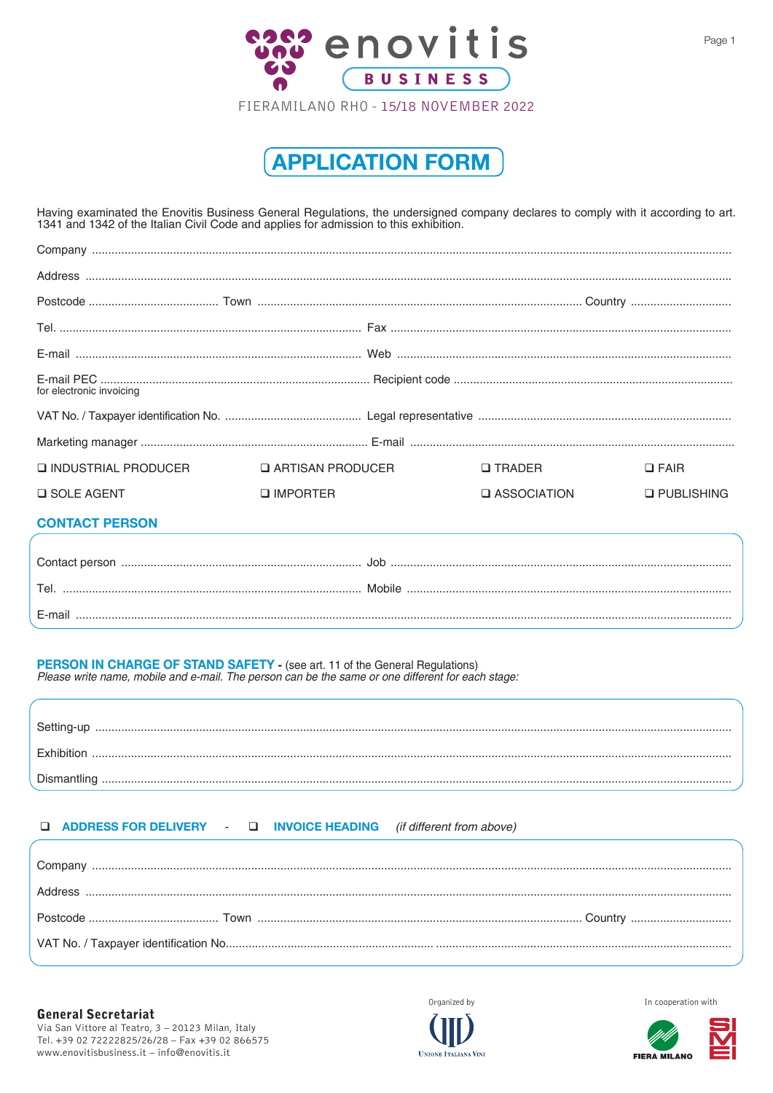

# **APPLICATION FORM**

Having examinated the Enovitis Business General Regulations, the undersigned company declares to comply with it according to art.<br>1341 and 1342 of the Italian Civil Code and applies for admission to this exhibition.

| ${Company\,\,}\,\,{}_{\,\,}\,\,{}_{\,\,}\,\,{}_{\,\,}\,\,{}_{\,\,}\,\,{}_{\,\,}\,\,{}_{\,\,}\,\,{}_{\,\,}\,\,{}_{\,\,}\,\,{}_{\,\,}\,\,{}_{\,\,}\,\,{}_{\,\,}\,\,{}_{\,\,}\,\,{}_{\,\,}\,\,{}_{\,\,}\,\,{}_{\,\,}\,\,{}_{\,\,}\,\,{}_{\,\,}\,\,{}_{\,\,}\,\,{}_{\,\,}\,\,{}_{\,\,}\,\,{}_{\,\,}\,\,{}_{\,\,}\,\,{}_{\,\,}\,\,{}_{\,\,}\,\,{}_{\,\,}\,\,{}_{\,\,}\,\,{}_{\$ |                           |                    |                     |
|----------------------------------------------------------------------------------------------------------------------------------------------------------------------------------------------------------------------------------------------------------------------------------------------------------------------------------------------------------------------------|---------------------------|--------------------|---------------------|
|                                                                                                                                                                                                                                                                                                                                                                            |                           |                    |                     |
|                                                                                                                                                                                                                                                                                                                                                                            |                           |                    |                     |
|                                                                                                                                                                                                                                                                                                                                                                            |                           |                    |                     |
|                                                                                                                                                                                                                                                                                                                                                                            |                           |                    |                     |
|                                                                                                                                                                                                                                                                                                                                                                            |                           |                    |                     |
|                                                                                                                                                                                                                                                                                                                                                                            |                           |                    |                     |
|                                                                                                                                                                                                                                                                                                                                                                            |                           |                    |                     |
| INDUSTRIAL PRODUCER                                                                                                                                                                                                                                                                                                                                                        | <b>Q ARTISAN PRODUCER</b> | $\square$ TRADER   | $\Box$ FAIR         |
| <b>Q SOLE AGENT</b>                                                                                                                                                                                                                                                                                                                                                        | <b>Q IMPORTER</b>         | $\Box$ ASSOCIATION | <b>Q PUBLISHING</b> |
|                                                                                                                                                                                                                                                                                                                                                                            |                           |                    |                     |

### **CONTACT PERSON**

| Tel    |  |
|--------|--|
| F-mail |  |

## **PERSON IN CHARGE OF STAND SAFETY** - (see art. 11 of the General Regulations)<br>Please write name, mobile and e-mail. The person can be the same or one different for each stage:

| <b>Exhibition</b> |
|-------------------|
|                   |

#### **Q ADDRESS FOR DELIVERY Q INVOICE HEADING** (if different from above)



In cooperation with